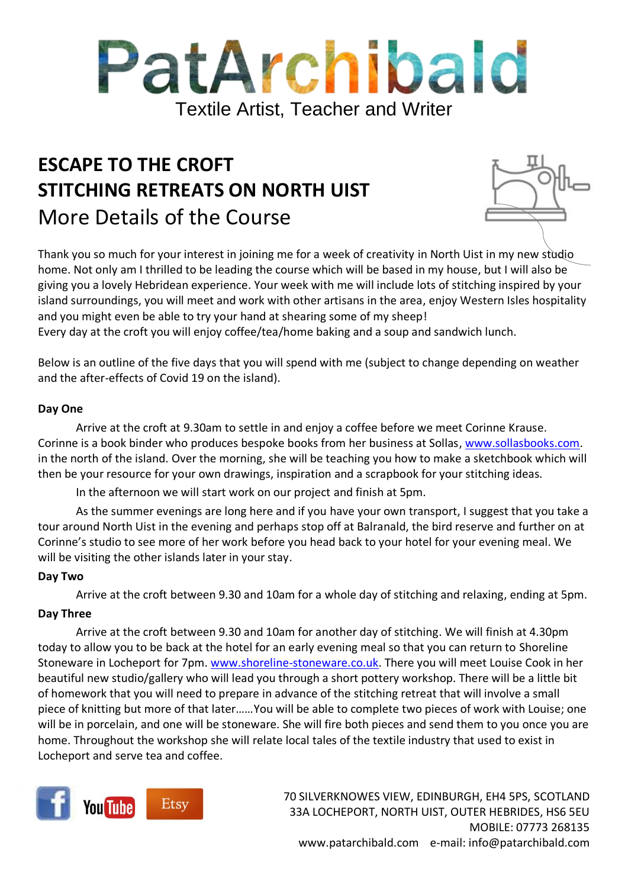

# **ESCAPE TO THE CROFT STITCHING RETREATS ON NORTH UIST** More Details of the Course

Thank you so much for your interest in joining me for a week of creativity in North Uist in my new studio home. Not only am I thrilled to be leading the course which will be based in my house, but I will also be giving you a lovely Hebridean experience. Your week with me will include lots of stitching inspired by your island surroundings, you will meet and work with other artisans in the area, enjoy Western Isles hospitality and you might even be able to try your hand at shearing some of my sheep!

Every day at the croft you will enjoy coffee/tea/home baking and a soup and sandwich lunch.

Below is an outline of the five days that you will spend with me (subject to change depending on weather and the after-effects of Covid 19 on the island).

#### **Day One**

Arrive at the croft at 9.30am to settle in and enjoy a coffee before we meet Corinne Krause. Corinne is a book binder who produces bespoke books from her business at Sollas[, www.sollasbooks.com.](http://www.sollasbooks.com/) in the north of the island. Over the morning, she will be teaching you how to make a sketchbook which will then be your resource for your own drawings, inspiration and a scrapbook for your stitching ideas.

In the afternoon we will start work on our project and finish at 5pm.

As the summer evenings are long here and if you have your own transport, I suggest that you take a tour around North Uist in the evening and perhaps stop off at Balranald, the bird reserve and further on at Corinne's studio to see more of her work before you head back to your hotel for your evening meal. We will be visiting the other islands later in your stay.

#### **Day Two**

Arrive at the croft between 9.30 and 10am for a whole day of stitching and relaxing, ending at 5pm.

#### **Day Three**

Arrive at the croft between 9.30 and 10am for another day of stitching. We will finish at 4.30pm today to allow you to be back at the hotel for an early evening meal so that you can return to Shoreline Stoneware in Locheport for 7pm. [www.shoreline-stoneware.co.uk.](http://www.shoreline-stoneware.co.uk/) There you will meet Louise Cook in her beautiful new studio/gallery who will lead you through a short pottery workshop. There will be a little bit of homework that you will need to prepare in advance of the stitching retreat that will involve a small piece of knitting but more of that later……You will be able to complete two pieces of work with Louise; one will be in porcelain, and one will be stoneware. She will fire both pieces and send them to you once you are home. Throughout the workshop she will relate local tales of the textile industry that used to exist in Locheport and serve tea and coffee.



70 SILVERKNOWES VIEW, EDINBURGH, EH4 5PS, SCOTLAND 33A LOCHEPORT, NORTH UIST, OUTER HEBRIDES, HS6 5EU MOBILE: 07773 268135 www.patarchibald.com e-mail: info@patarchibald.com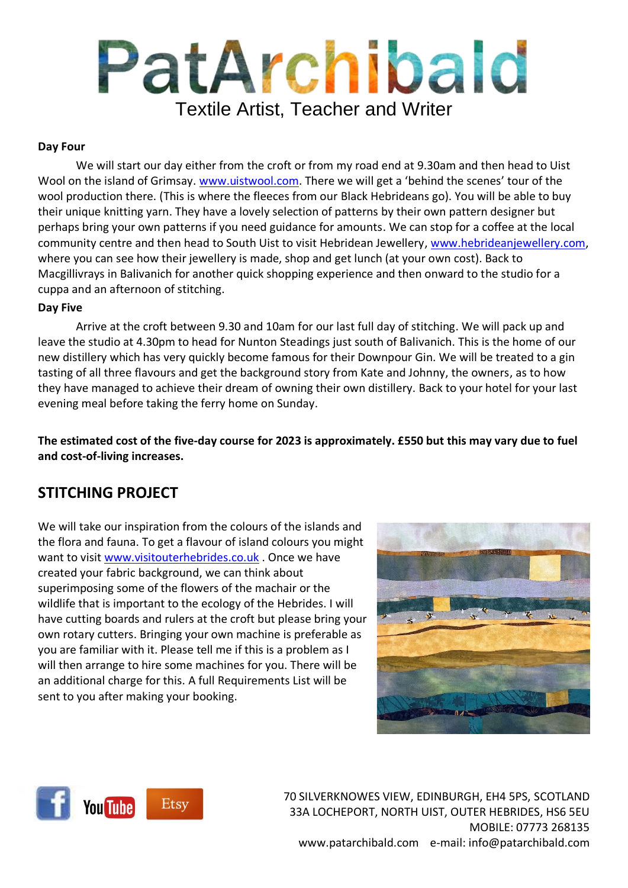# PatArchibald Textile Artist, Teacher and Writer

#### **Day Four**

We will start our day either from the croft or from my road end at 9.30am and then head to Uist Wool on the island of Grimsay. [www.uistwool.com.](http://www.uistwool.com/) There we will get a 'behind the scenes' tour of the wool production there. (This is where the fleeces from our Black Hebrideans go). You will be able to buy their unique knitting yarn. They have a lovely selection of patterns by their own pattern designer but perhaps bring your own patterns if you need guidance for amounts. We can stop for a coffee at the local community centre and then head to South Uist to visit Hebridean Jewellery, [www.hebrideanjewellery.com,](http://www.hebrideanjewellery.com/) where you can see how their jewellery is made, shop and get lunch (at your own cost). Back to Macgillivrays in Balivanich for another quick shopping experience and then onward to the studio for a cuppa and an afternoon of stitching.

#### **Day Five**

Arrive at the croft between 9.30 and 10am for our last full day of stitching. We will pack up and leave the studio at 4.30pm to head for Nunton Steadings just south of Balivanich. This is the home of our new distillery which has very quickly become famous for their Downpour Gin. We will be treated to a gin tasting of all three flavours and get the background story from Kate and Johnny, the owners, as to how they have managed to achieve their dream of owning their own distillery. Back to your hotel for your last evening meal before taking the ferry home on Sunday.

**The estimated cost of the five-day course for 2023 is approximately. £550 but this may vary due to fuel and cost-of-living increases.**

### **STITCHING PROJECT**

We will take our inspiration from the colours of the islands and the flora and fauna. To get a flavour of island colours you might want to visit [www.visitouterhebrides.co.uk](http://www.visitouterhebrides.co.uk/) . Once we have created your fabric background, we can think about superimposing some of the flowers of the machair or the wildlife that is important to the ecology of the Hebrides. I will have cutting boards and rulers at the croft but please bring your own rotary cutters. Bringing your own machine is preferable as you are familiar with it. Please tell me if this is a problem as I will then arrange to hire some machines for you. There will be an additional charge for this. A full Requirements List will be sent to you after making your booking.





70 SILVERKNOWES VIEW, EDINBURGH, EH4 5PS, SCOTLAND 33A LOCHEPORT, NORTH UIST, OUTER HEBRIDES, HS6 5EU MOBILE: 07773 268135 www.patarchibald.com e-mail: info@patarchibald.com